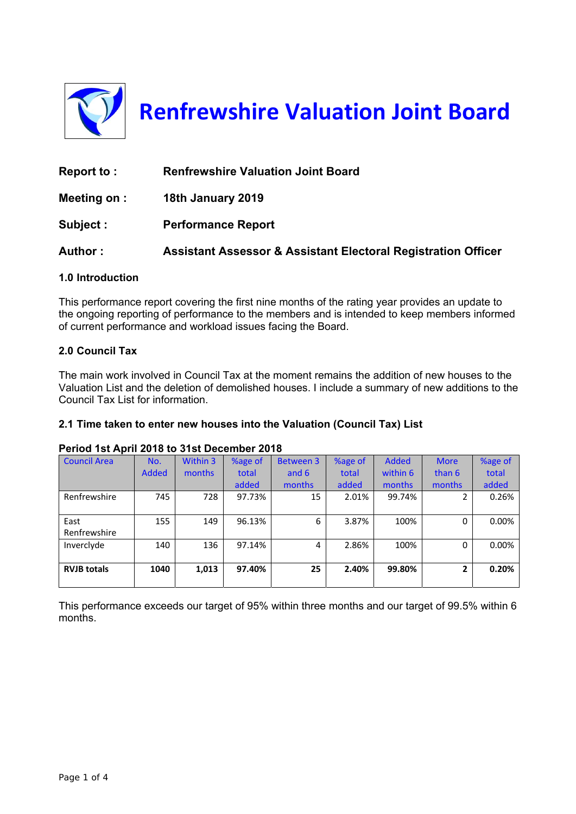

**Renfrewshire Valuation Joint Board**

| Report to:   | <b>Renfrewshire Valuation Joint Board</b>                                |
|--------------|--------------------------------------------------------------------------|
| Meeting on : | 18th January 2019                                                        |
| Subject:     | <b>Performance Report</b>                                                |
| Author:      | <b>Assistant Assessor &amp; Assistant Electoral Registration Officer</b> |

# **1.0 Introduction**

This performance report covering the first nine months of the rating year provides an update to the ongoing reporting of performance to the members and is intended to keep members informed of current performance and workload issues facing the Board.

#### **2.0 Council Tax**

The main work involved in Council Tax at the moment remains the addition of new houses to the Valuation List and the deletion of demolished houses. I include a summary of new additions to the Council Tax List for information.

# **2.1 Time taken to enter new houses into the Valuation (Council Tax) List**

#### **Period 1st April 2018 to 31st December 2018**

| <b>Council Area</b> | No.          | Within 3 | %age of | <b>Between 3</b> | %age of | <b>Added</b> | <b>More</b>  | %age of |
|---------------------|--------------|----------|---------|------------------|---------|--------------|--------------|---------|
|                     | <b>Added</b> | months   | total   | and 6            | total   | within 6     | than 6       | total   |
|                     |              |          | added   | months           | added   | months       | months       | added   |
| Renfrewshire        | 745          | 728      | 97.73%  | 15               | 2.01%   | 99.74%       | 2            | 0.26%   |
|                     |              |          |         |                  |         |              |              |         |
| East                | 155          | 149      | 96.13%  | 6                | 3.87%   | 100%         | 0            | 0.00%   |
| Renfrewshire        |              |          |         |                  |         |              |              |         |
| Invercivde          | 140          | 136      | 97.14%  | 4                | 2.86%   | 100%         | 0            | 0.00%   |
|                     |              |          |         |                  |         |              |              |         |
| <b>RVJB totals</b>  | 1040         | 1,013    | 97.40%  | 25               | 2.40%   | 99.80%       | $\mathbf{2}$ | 0.20%   |
|                     |              |          |         |                  |         |              |              |         |

This performance exceeds our target of 95% within three months and our target of 99.5% within 6 months.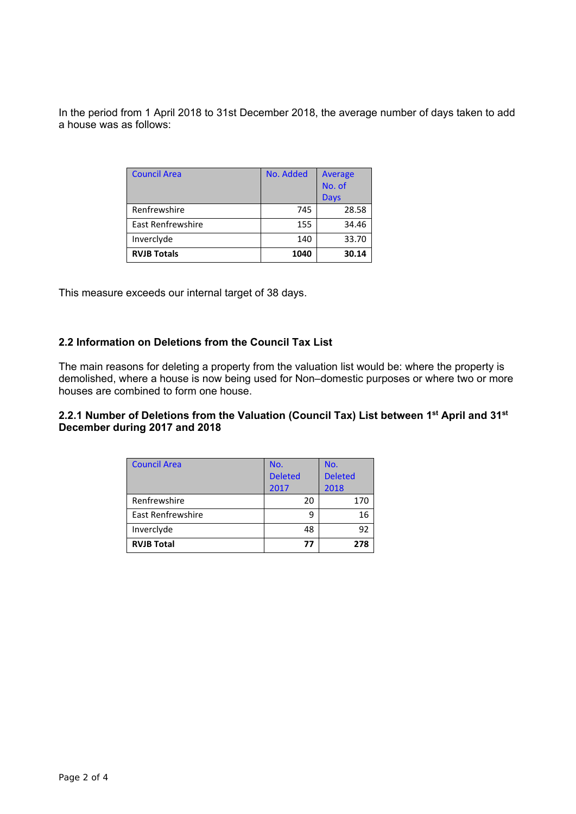In the period from 1 April 2018 to 31st December 2018, the average number of days taken to add a house was as follows:

| <b>Council Area</b> | No. Added | Average<br>No. of |  |
|---------------------|-----------|-------------------|--|
|                     |           | Days              |  |
| Renfrewshire        | 745       | 28.58             |  |
| East Renfrewshire   | 155       | 34.46             |  |
| Inverclyde          | 140       | 33.70             |  |
| <b>RVJB Totals</b>  | 1040      | 30.14             |  |

This measure exceeds our internal target of 38 days.

# **2.2 Information on Deletions from the Council Tax List**

The main reasons for deleting a property from the valuation list would be: where the property is demolished, where a house is now being used for Non–domestic purposes or where two or more houses are combined to form one house.

#### **2.2.1 Number of Deletions from the Valuation (Council Tax) List between 1st April and 31st December during 2017 and 2018**

| <b>Council Area</b>      | No.            | No.            |  |
|--------------------------|----------------|----------------|--|
|                          | <b>Deleted</b> | <b>Deleted</b> |  |
|                          | 2017           | 2018           |  |
| Renfrewshire             | 20             | 170            |  |
| <b>East Renfrewshire</b> | 9              | 16             |  |
| Inverclyde               | 48             | 92             |  |
| <b>RVJB Total</b>        | 77             | 278            |  |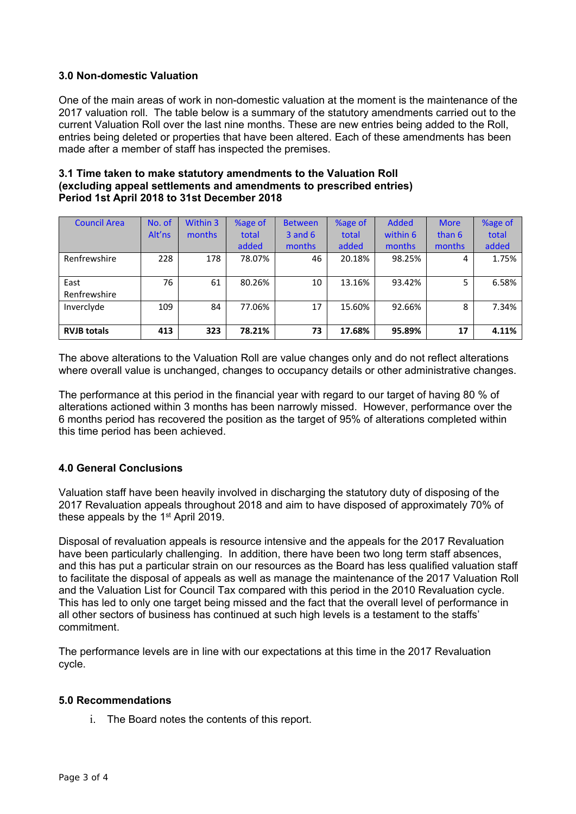# **3.0 Non-domestic Valuation**

One of the main areas of work in non-domestic valuation at the moment is the maintenance of the 2017 valuation roll. The table below is a summary of the statutory amendments carried out to the current Valuation Roll over the last nine months. These are new entries being added to the Roll, entries being deleted or properties that have been altered. Each of these amendments has been made after a member of staff has inspected the premises.

| 3.1 Time taken to make statutory amendments to the Valuation Roll   |
|---------------------------------------------------------------------|
| (excluding appeal settlements and amendments to prescribed entries) |
| Period 1st April 2018 to 31st December 2018                         |

| <b>Council Area</b> | No. of | Within 3 | %age of | <b>Between</b> | %age of | <b>Added</b> | <b>More</b> | %age of |
|---------------------|--------|----------|---------|----------------|---------|--------------|-------------|---------|
|                     | Alt'ns | months   | total   | $3$ and $6$    | total   | within 6     | than 6      | total   |
|                     |        |          | added   | months         | added   | months       | months      | added   |
| Renfrewshire        | 228    | 178      | 78.07%  | 46             | 20.18%  | 98.25%       | 4           | 1.75%   |
|                     |        |          |         |                |         |              |             |         |
| East                | 76     | 61       | 80.26%  | 10             | 13.16%  | 93.42%       | 5           | 6.58%   |
| Renfrewshire        |        |          |         |                |         |              |             |         |
| Invercivde          | 109    | 84       | 77.06%  | 17             | 15.60%  | 92.66%       | 8           | 7.34%   |
|                     |        |          |         |                |         |              |             |         |
| <b>RVJB totals</b>  | 413    | 323      | 78.21%  | 73             | 17.68%  | 95.89%       | 17          | 4.11%   |

The above alterations to the Valuation Roll are value changes only and do not reflect alterations where overall value is unchanged, changes to occupancy details or other administrative changes.

The performance at this period in the financial year with regard to our target of having 80 % of alterations actioned within 3 months has been narrowly missed. However, performance over the 6 months period has recovered the position as the target of 95% of alterations completed within this time period has been achieved.

# **4.0 General Conclusions**

Valuation staff have been heavily involved in discharging the statutory duty of disposing of the 2017 Revaluation appeals throughout 2018 and aim to have disposed of approximately 70% of these appeals by the 1<sup>st</sup> April 2019.

Disposal of revaluation appeals is resource intensive and the appeals for the 2017 Revaluation have been particularly challenging. In addition, there have been two long term staff absences, and this has put a particular strain on our resources as the Board has less qualified valuation staff to facilitate the disposal of appeals as well as manage the maintenance of the 2017 Valuation Roll and the Valuation List for Council Tax compared with this period in the 2010 Revaluation cycle. This has led to only one target being missed and the fact that the overall level of performance in all other sectors of business has continued at such high levels is a testament to the staffs' commitment.

The performance levels are in line with our expectations at this time in the 2017 Revaluation cycle.

#### **5.0 Recommendations**

i. The Board notes the contents of this report.